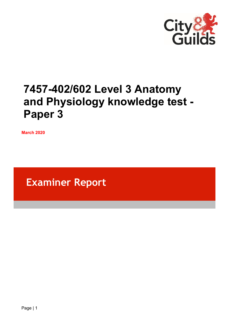

# **7457-402/602 Level 3 Anatomy and Physiology knowledge test - Paper 3**

**March 2020**

**Examiner Report**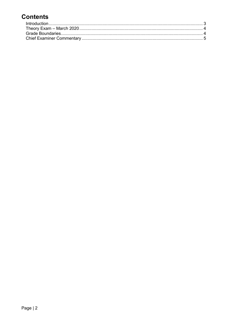# **Contents**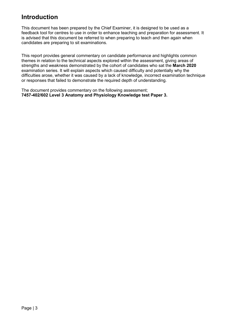## <span id="page-2-0"></span>**Introduction**

This document has been prepared by the Chief Examiner, it is designed to be used as a feedback tool for centres to use in order to enhance teaching and preparation for assessment. It is advised that this document be referred to when preparing to teach and then again when candidates are preparing to sit examinations.

This report provides general commentary on candidate performance and highlights common themes in relation to the technical aspects explored within the assessment, giving areas of strengths and weakness demonstrated by the cohort of candidates who sat the **March 2020** examination series. It will explain aspects which caused difficulty and potentially why the difficulties arose, whether it was caused by a lack of knowledge, incorrect examination technique or responses that failed to demonstrate the required depth of understanding.

The document provides commentary on the following assessment; **7457-402/602 Level 3 Anatomy and Physiology Knowledge test Paper 3.**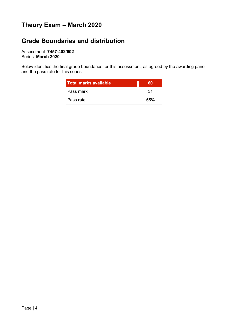## <span id="page-3-0"></span>**Theory Exam – March 2020**

### <span id="page-3-1"></span>**Grade Boundaries and distribution**

Assessment: **7457-402/602** Series: **March 2020**

Below identifies the final grade boundaries for this assessment, as agreed by the awarding panel and the pass rate for this series:

| <b>Total marks available</b> | 60   |
|------------------------------|------|
| Pass mark                    | 31   |
| Pass rate                    | .55% |